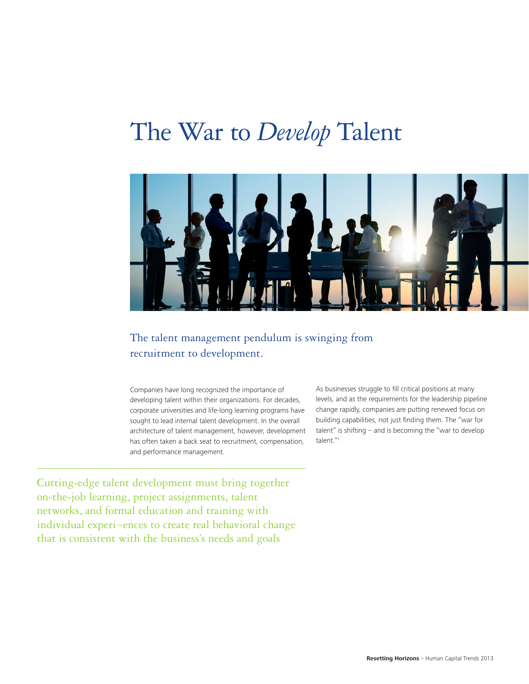# The War to *Develop* Talent



# The talent management pendulum is swinging from recruitment to development.

Companies have long recognized the importance of developing talent within their organizations. For decades, corporate universities and life-long learning programs have sought to lead internal talent development. In the overall architecture of talent management, however, development has often taken a back seat to recruitment, compensation, and performance management.

Cutting-edge talent development must bring together on-the-job learning, project assignments, talent networks, and formal education and training with individual experi¬ences to create real behavioral change that is consistent with the business's needs and goals

As businesses struggle to fill critical positions at many levels, and as the requirements for the leadership pipeline change rapidly, companies are putting renewed focus on building capabilities, not just finding them. The "war for talent" is shifting – and is becoming the "war to develop talent."1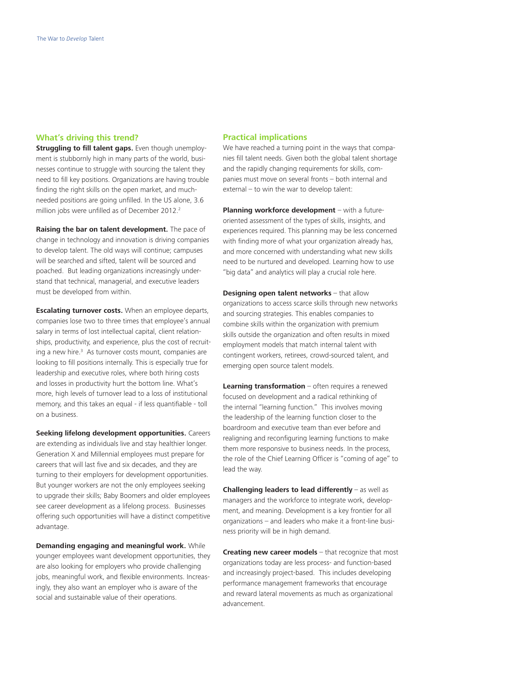# **What's driving this trend?**

**Struggling to fill talent gaps.** Even though unemployment is stubbornly high in many parts of the world, businesses continue to struggle with sourcing the talent they need to fill key positions. Organizations are having trouble finding the right skills on the open market, and muchneeded positions are going unfilled. In the US alone, 3.6 million jobs were unfilled as of December 2012.<sup>2</sup>

**Raising the bar on talent development.** The pace of change in technology and innovation is driving companies to develop talent. The old ways will continue; campuses will be searched and sifted, talent will be sourced and poached. But leading organizations increasingly understand that technical, managerial, and executive leaders must be developed from within.

**Escalating turnover costs.** When an employee departs, companies lose two to three times that employee's annual salary in terms of lost intellectual capital, client relationships, productivity, and experience, plus the cost of recruiting a new hire.<sup>3</sup> As turnover costs mount, companies are looking to fill positions internally. This is especially true for leadership and executive roles, where both hiring costs and losses in productivity hurt the bottom line. What's more, high levels of turnover lead to a loss of institutional memory, and this takes an equal - if less quantifiable - toll on a business.

**Seeking lifelong development opportunities.** Careers are extending as individuals live and stay healthier longer. Generation X and Millennial employees must prepare for careers that will last five and six decades, and they are turning to their employers for development opportunities. But younger workers are not the only employees seeking to upgrade their skills; Baby Boomers and older employees see career development as a lifelong process. Businesses offering such opportunities will have a distinct competitive advantage.

**Demanding engaging and meaningful work.** While younger employees want development opportunities, they are also looking for employers who provide challenging jobs, meaningful work, and flexible environments. Increasingly, they also want an employer who is aware of the social and sustainable value of their operations.

# **Practical implications**

We have reached a turning point in the ways that companies fill talent needs. Given both the global talent shortage and the rapidly changing requirements for skills, companies must move on several fronts – both internal and external – to win the war to develop talent:

**Planning workforce development** – with a futureoriented assessment of the types of skills, insights, and experiences required. This planning may be less concerned with finding more of what your organization already has, and more concerned with understanding what new skills need to be nurtured and developed. Learning how to use "big data" and analytics will play a crucial role here.

**Designing open talent networks** – that allow organizations to access scarce skills through new networks and sourcing strategies. This enables companies to combine skills within the organization with premium skills outside the organization and often results in mixed employment models that match internal talent with contingent workers, retirees, crowd-sourced talent, and emerging open source talent models.

**Learning transformation** – often requires a renewed focused on development and a radical rethinking of the internal "learning function." This involves moving the leadership of the learning function closer to the boardroom and executive team than ever before and realigning and reconfiguring learning functions to make them more responsive to business needs. In the process, the role of the Chief Learning Officer is "coming of age" to lead the way.

**Challenging leaders to lead differently** – as well as managers and the workforce to integrate work, development, and meaning. Development is a key frontier for all organizations – and leaders who make it a front-line business priority will be in high demand.

**Creating new career models** – that recognize that most organizations today are less process- and function-based and increasingly project-based. This includes developing performance management frameworks that encourage and reward lateral movements as much as organizational advancement.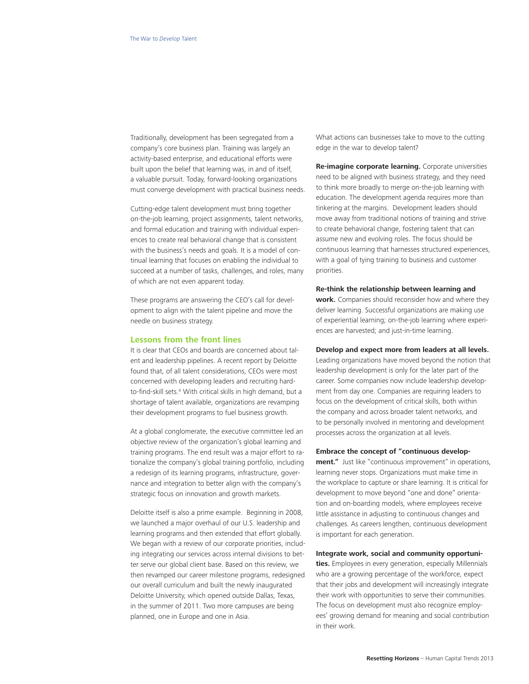Traditionally, development has been segregated from a company's core business plan. Training was largely an activity-based enterprise, and educational efforts were built upon the belief that learning was, in and of itself, a valuable pursuit. Today, forward-looking organizations must converge development with practical business needs.

Cutting-edge talent development must bring together on-the-job learning, project assignments, talent networks, and formal education and training with individual experiences to create real behavioral change that is consistent with the business's needs and goals. It is a model of continual learning that focuses on enabling the individual to succeed at a number of tasks, challenges, and roles, many of which are not even apparent today.

These programs are answering the CEO's call for development to align with the talent pipeline and move the needle on business strategy.

### **Lessons from the front lines**

It is clear that CEOs and boards are concerned about talent and leadership pipelines. A recent report by Deloitte found that, of all talent considerations, CEOs were most concerned with developing leaders and recruiting hardto-find-skill sets.4 With critical skills in high demand, but a shortage of talent available, organizations are revamping their development programs to fuel business growth.

At a global conglomerate, the executive committee led an objective review of the organization's global learning and training programs. The end result was a major effort to rationalize the company's global training portfolio, including a redesign of its learning programs, infrastructure, governance and integration to better align with the company's strategic focus on innovation and growth markets.

Deloitte itself is also a prime example. Beginning in 2008, we launched a major overhaul of our U.S. leadership and learning programs and then extended that effort globally. We began with a review of our corporate priorities, including integrating our services across internal divisions to better serve our global client base. Based on this review, we then revamped our career milestone programs, redesigned our overall curriculum and built the newly inaugurated Deloitte University, which opened outside Dallas, Texas, in the summer of 2011. Two more campuses are being planned, one in Europe and one in Asia.

What actions can businesses take to move to the cutting edge in the war to develop talent?

**Re-imagine corporate learning.** Corporate universities need to be aligned with business strategy, and they need to think more broadly to merge on-the-job learning with education. The development agenda requires more than tinkering at the margins. Development leaders should move away from traditional notions of training and strive to create behavioral change, fostering talent that can assume new and evolving roles. The focus should be continuous learning that harnesses structured experiences, with a goal of tying training to business and customer priorities.

#### **Re-think the relationship between learning and**

**work.** Companies should reconsider how and where they deliver learning. Successful organizations are making use of experiential learning; on-the-job learning where experiences are harvested; and just-in-time learning.

## **Develop and expect more from leaders at all levels.**

Leading organizations have moved beyond the notion that leadership development is only for the later part of the career. Some companies now include leadership development from day one. Companies are requiring leaders to focus on the development of critical skills, both within the company and across broader talent networks, and to be personally involved in mentoring and development processes across the organization at all levels.

#### **Embrace the concept of "continuous develop-**

**ment."** Just like "continuous improvement" in operations, learning never stops. Organizations must make time in the workplace to capture or share learning. It is critical for development to move beyond "one and done" orientation and on-boarding models, where employees receive little assistance in adjusting to continuous changes and challenges. As careers lengthen, continuous development is important for each generation.

#### **Integrate work, social and community opportuni-**

**ties.** Employees in every generation, especially Millennials who are a growing percentage of the workforce, expect that their jobs and development will increasingly integrate their work with opportunities to serve their communities. The focus on development must also recognize employees' growing demand for meaning and social contribution in their work.